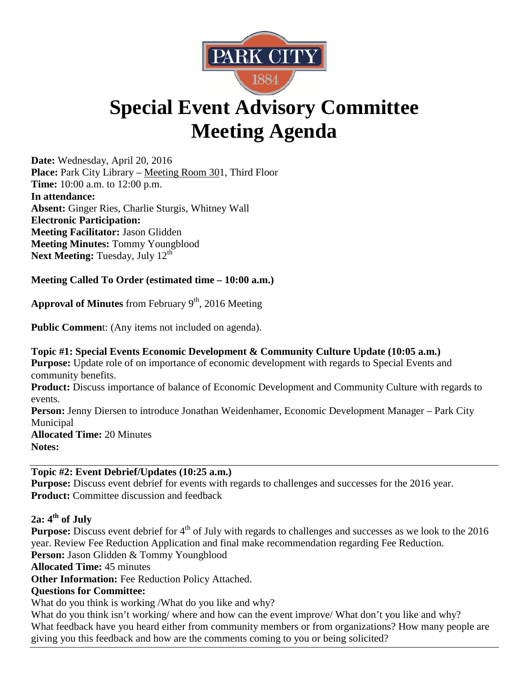

# **Special Event Advisory Committee Meeting Agenda**

**Date:** Wednesday, April 20, 2016 **Place:** Park City Library – Meeting Room 301, Third Floor **Time:** 10:00 a.m. to 12:00 p.m. **In attendance: Absent:** Ginger Ries, Charlie Sturgis, Whitney Wall **Electronic Participation: Meeting Facilitator:** Jason Glidden **Meeting Minutes:** Tommy Youngblood **Next Meeting:** Tuesday, July 12<sup>th</sup>

# **Meeting Called To Order (estimated time – 10:00 a.m.)**

**Approval of Minutes** from February  $9<sup>th</sup>$ , 2016 Meeting

**Public Commen**t: (Any items not included on agenda).

**Topic #1: Special Events Economic Development & Community Culture Update (10:05 a.m.) Purpose:** Update role of on importance of economic development with regards to Special Events and community benefits.

**Product:** Discuss importance of balance of Economic Development and Community Culture with regards to events.

Person: Jenny Diersen to introduce Jonathan Weidenhamer, Economic Development Manager – Park City Municipal

**Allocated Time:** 20 Minutes **Notes:** 

**Topic #2: Event Debrief/Updates (10:25 a.m.) Purpose:** Discuss event debrief for events with regards to challenges and successes for the 2016 year. **Product:** Committee discussion and feedback

**2a: 4th of July**

**Purpose:** Discuss event debrief for 4<sup>th</sup> of July with regards to challenges and successes as we look to the 2016 year. Review Fee Reduction Application and final make recommendation regarding Fee Reduction.

**Person:** Jason Glidden & Tommy Youngblood

**Allocated Time:** 45 minutes

**Other Information:** Fee Reduction Policy Attached.

## **Questions for Committee:**

What do you think is working /What do you like and why?

What do you think isn't working/ where and how can the event improve/ What don't you like and why? What feedback have you heard either from community members or from organizations? How many people are giving you this feedback and how are the comments coming to you or being solicited?